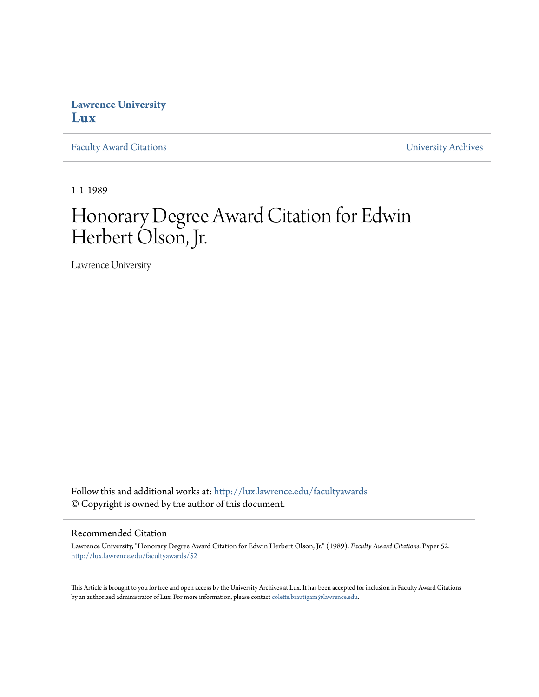## **Lawrence University [Lux](http://lux.lawrence.edu?utm_source=lux.lawrence.edu%2Ffacultyawards%2F52&utm_medium=PDF&utm_campaign=PDFCoverPages)**

[Faculty Award Citations](http://lux.lawrence.edu/facultyawards?utm_source=lux.lawrence.edu%2Ffacultyawards%2F52&utm_medium=PDF&utm_campaign=PDFCoverPages) **Example 2018** [University Archives](http://lux.lawrence.edu/archives?utm_source=lux.lawrence.edu%2Ffacultyawards%2F52&utm_medium=PDF&utm_campaign=PDFCoverPages)

1-1-1989

# Honorary Degree Award Citation for Edwin Herbert Olson, Jr.

Lawrence University

Follow this and additional works at: [http://lux.lawrence.edu/facultyawards](http://lux.lawrence.edu/facultyawards?utm_source=lux.lawrence.edu%2Ffacultyawards%2F52&utm_medium=PDF&utm_campaign=PDFCoverPages) © Copyright is owned by the author of this document.

#### Recommended Citation

Lawrence University, "Honorary Degree Award Citation for Edwin Herbert Olson, Jr." (1989). *Faculty Award Citations.* Paper 52. [http://lux.lawrence.edu/facultyawards/52](http://lux.lawrence.edu/facultyawards/52?utm_source=lux.lawrence.edu%2Ffacultyawards%2F52&utm_medium=PDF&utm_campaign=PDFCoverPages)

This Article is brought to you for free and open access by the University Archives at Lux. It has been accepted for inclusion in Faculty Award Citations by an authorized administrator of Lux. For more information, please contact [colette.brautigam@lawrence.edu](mailto:colette.brautigam@lawrence.edu).